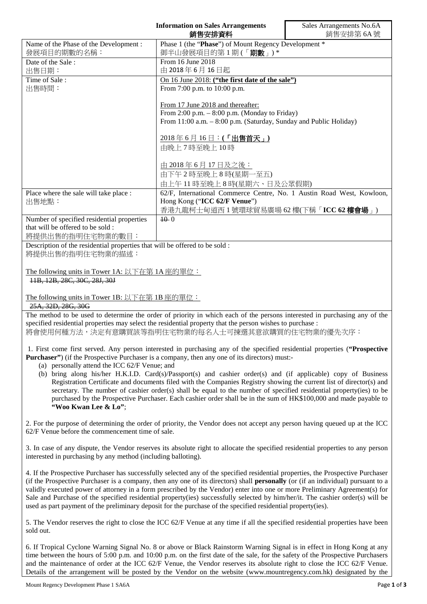|                                                                                                 | <b>Information on Sales Arrangements</b><br>銷售安排資料                    | Sales Arrangements No.6A<br>銷售安排第6A號 |
|-------------------------------------------------------------------------------------------------|-----------------------------------------------------------------------|--------------------------------------|
| Name of the Phase of the Development :                                                          | Phase 1 (the "Phase") of Mount Regency Development *                  |                                      |
| 發展項目的期數的名稱:                                                                                     | 御半山發展項目的第1期(「期數」)*                                                    |                                      |
| Date of the Sale:                                                                               | From 16 June 2018                                                     |                                      |
| 出售日期:                                                                                           | 由 2018年6月16日起                                                         |                                      |
| Time of Sale:                                                                                   | On 16 June 2018: ("the first date of the sale")                       |                                      |
| 出售時間:                                                                                           | From 7:00 p.m. to 10:00 p.m.                                          |                                      |
|                                                                                                 | From 17 June 2018 and thereafter:                                     |                                      |
|                                                                                                 | From 2:00 p.m. - 8:00 p.m. (Monday to Friday)                         |                                      |
|                                                                                                 | From 11:00 a.m. - 8:00 p.m. (Saturday, Sunday and Public Holiday)     |                                      |
|                                                                                                 | 2018年6月16日:(「出售首天」)                                                   |                                      |
|                                                                                                 | 由晚上7時至晚上10時                                                           |                                      |
|                                                                                                 |                                                                       |                                      |
|                                                                                                 | <u>由 2018年6月17日及之後:</u>                                               |                                      |
|                                                                                                 | 由下午2時至晚上8時(星期一至五)                                                     |                                      |
|                                                                                                 | 由上午11時至晚上8時(星期六、日及公眾假期)                                               |                                      |
| Place where the sale will take place :                                                          | 62/F, International Commerce Centre, No. 1 Austin Road West, Kowloon, |                                      |
| 出售地點:                                                                                           | Hong Kong ("ICC 62/F Venue")                                          |                                      |
|                                                                                                 | 香港九龍柯士甸道西1號環球貿易廣場 62樓(下稱「ICC 62樓會場」)                                  |                                      |
| Number of specified residential properties                                                      | $10-0$                                                                |                                      |
| that will be offered to be sold:                                                                |                                                                       |                                      |
| 將提供出售的指明住宅物業的數目:                                                                                |                                                                       |                                      |
| Description of the residential properties that will be offered to be sold :<br>將提供出售的指明住宅物業的描述: |                                                                       |                                      |
| The following units in Tower 1A: 以下在第 1A 座的單位:<br>11B, 12B, 28C, 30C, 28J, 30J                  |                                                                       |                                      |
| The following units in Tower 1B: 以下在第 1B 座的單位:<br>25A, 32D, 28G, 30G                            |                                                                       |                                      |
| $1.3 - 1.$<br>$\sim$ $C_{\rm A}$ $\sim$ $1$ .<br>1.1<br>$1.4 - 1.4$                             |                                                                       |                                      |

The method to be used to determine the order of priority in which each of the persons interested in purchasing any of the specified residential properties may select the residential property that the person wishes to purchase : 將會使用何種方法,決定有意購買該等指明住宅物業的每名人士可揀選其意欲購買的住宅物業的優先次序:

1. First come first served. Any person interested in purchasing any of the specified residential properties (**"Prospective Purchaser"**) (if the Prospective Purchaser is a company, then any one of its directors) must:-

- (a) personally attend the ICC 62/F Venue; and
- (b) bring along his/her H.K.I.D. Card(s)/Passport(s) and cashier order(s) and (if applicable) copy of Business Registration Certificate and documents filed with the Companies Registry showing the current list of director(s) and secretary. The number of cashier order(s) shall be equal to the number of specified residential property(ies) to be purchased by the Prospective Purchaser. Each cashier order shall be in the sum of HK\$100,000 and made payable to **"Woo Kwan Lee & Lo"**;

2. For the purpose of determining the order of priority, the Vendor does not accept any person having queued up at the ICC 62/F Venue before the commencement time of sale.

3. In case of any dispute, the Vendor reserves its absolute right to allocate the specified residential properties to any person interested in purchasing by any method (including balloting).

4. If the Prospective Purchaser has successfully selected any of the specified residential properties, the Prospective Purchaser (if the Prospective Purchaser is a company, then any one of its directors) shall **personally** (or (if an individual) pursuant to a validly executed power of attorney in a form prescribed by the Vendor) enter into one or more Preliminary Agreement(s) for Sale and Purchase of the specified residential property(ies) successfully selected by him/her/it. The cashier order(s) will be used as part payment of the preliminary deposit for the purchase of the specified residential property(ies).

5. The Vendor reserves the right to close the ICC 62/F Venue at any time if all the specified residential properties have been sold out.

6. If Tropical Cyclone Warning Signal No. 8 or above or Black Rainstorm Warning Signal is in effect in Hong Kong at any time between the hours of 5:00 p.m. and 10:00 p.m. on the first date of the sale, for the safety of the Prospective Purchasers and the maintenance of order at the ICC 62/F Venue, the Vendor reserves its absolute right to close the ICC 62/F Venue. Details of the arrangement will be posted by the Vendor on the website (www.mountregency.com.hk) designated by the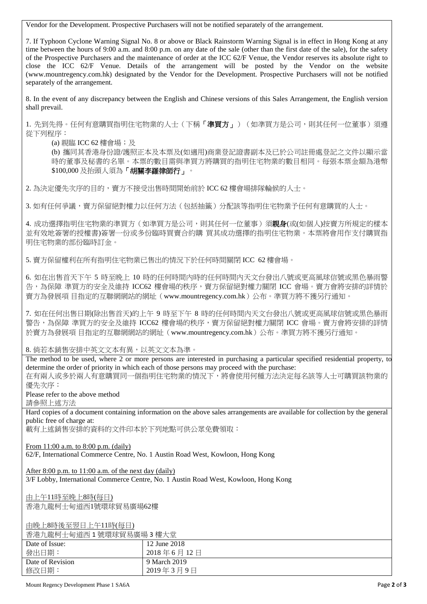Vendor for the Development. Prospective Purchasers will not be notified separately of the arrangement.

7. If Typhoon Cyclone Warning Signal No. 8 or above or Black Rainstorm Warning Signal is in effect in Hong Kong at any time between the hours of 9:00 a.m. and 8:00 p.m. on any date of the sale (other than the first date of the sale), for the safety of the Prospective Purchasers and the maintenance of order at the ICC 62/F Venue, the Vendor reserves its absolute right to close the ICC 62/F Venue. Details of the arrangement will be posted by the Vendor on the website (www.mountregency.com.hk) designated by the Vendor for the Development. Prospective Purchasers will not be notified separately of the arrangement.

8. In the event of any discrepancy between the English and Chinese versions of this Sales Arrangement, the English version shall prevail.

1. 先到先得。任何有意購買指明住宅物業的人士(下稱「準買方」)(如準買方是公司,則其任何一位董事)須遵 從下列程序:

(a) 親臨 ICC 62 樓會場; 及

(b) 攜同其香港身份證/護照正本及本票及(如適用)商業登記證書副本及已於公司註冊處登記之文件以顯示當 時的董事及秘書的名單。本票的數目需與準買方將購買的指明住宅物業的數目相同。每張本票金額為港幣 \$100,000 及抬頭人須為「胡關李羅律師行」。

2. 為決定優先次序的目的,賣方不接受出售時間開始前於 ICC 62 樓會場排隊輪候的人士。

3. 如有任何爭議,賣方保留絕對權力以任何方法(包括抽籤)分配該等指明住宅物業予任何有意購買的人士。

4. 成功選擇指明住宅物業的準買方(如準買方是公司,則其任何一位董事)須**親身**(或(如個人)按賣方所規定的樣本 並有效地簽署的授權書)簽署一份或多份臨時買賣合約購 買其成功選擇的指明住宅物業。本票將會用作支付購買指 明住宅物業的部份臨時訂金。

5. 賣方保留權利在所有指明住宅物業已售出的情況下於任何時間關閉 ICC 62 樓會場。

6. 如在出售首天下午 5 時至晚上 10 時的任何時間內時的任何時間內天文台發出八號或更高風球信號或黑色暴雨警 告,為保障 準買方的安全及維持 ICC62 樓會場的秩序,賣方保留絕對權力關閉 ICC 會場。賣方會將安排的詳情於 賣方為發展項 目指定的互聯網網站的網址(www.mountregency.com.hk)公布。準買方將不獲另行通知。

7. 如在任何出售日期(除出售首天)的上午 9 時至下午 8 時的任何時間內天文台發出八號或更高風球信號或黑色暴雨 警告,為保障 準買方的安全及維持 ICC62 樓會場的秩序,賣方保留絕對權力關閉 ICC 會場。賣方會將安排的詳情 於賣方為發展項 目指定的互聯網網站的網址(www.mountregency.com.hk)公布。準買方將不獲另行通知。

8. 倘若本銷售安排中英文文本有異,以英文文本為準。

The method to be used, where 2 or more persons are interested in purchasing a particular specified residential property, to determine the order of priority in which each of those persons may proceed with the purchase:

在有兩人或多於兩人有意購買同一個指明住宅物業的情況下,將會使用何種方法決定每名該等人士可購買該物業的 優先次序:

Please refer to the above method

請參照上述方法

Hard copies of a document containing information on the above sales arrangements are available for collection by the general public free of charge at:

載有上述銷售安排的資料的文件印本於下列地點可供公眾免費領取:

From 11:00 a.m. to 8:00 p.m. (daily)

62/F, International Commerce Centre, No. 1 Austin Road West, Kowloon, Hong Kong

After 8:00 p.m. to 11:00 a.m. of the next day (daily)

3/F Lobby, International Commerce Centre, No. 1 Austin Road West, Kowloon, Hong Kong

由上午11時至晚上8時(每日) 香港九龍柯士甸道西1號環球貿易廣場62樓

由晚上8時後至翌日上午11時(每日)

香港九龍柯士甸道西 1 號環球貿易廣場 3 樓大堂

| 日/巴/ い臼 コ エ ツ 但 口 ・ 肌 "农 "小 只 勿 庚 物 っ 1女 八 土 |              |  |
|----------------------------------------------|--------------|--|
| Date of Issue:                               | 12 June 2018 |  |
| 發出日期:                                        | 2018年6月12日   |  |
| Date of Revision                             | 9 March 2019 |  |
| 修改日期:                                        | 2019年3月9日    |  |

Mount Regency Development Phase 1 SA6A **Page 2** of **3**